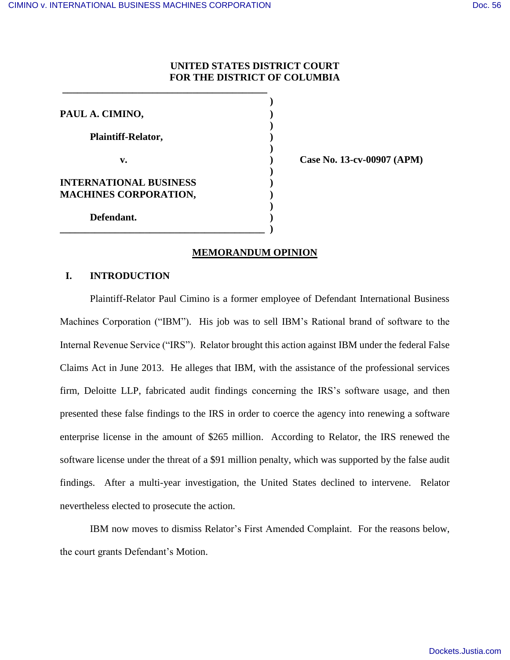## **UNITED STATES DISTRICT COURT FOR THE DISTRICT OF COLUMBIA**

| PAUL A. CIMINO,                                        |  |
|--------------------------------------------------------|--|
| <b>Plaintiff-Relator,</b>                              |  |
| v.                                                     |  |
| INTERNATIONAL BUSINESS<br><b>MACHINES CORPORATION,</b> |  |
| Defendant.                                             |  |

 **\_\_\_\_\_\_\_\_\_\_\_\_\_\_\_\_\_\_\_\_\_\_\_\_\_\_\_\_\_\_\_\_\_\_\_\_\_\_\_\_\_** 

 **v. ) Case No. 13-cv-00907 (APM)** 

## **MEMORANDUM OPINION**

## **I. INTRODUCTION**

Plaintiff-Relator Paul Cimino is a former employee of Defendant International Business Machines Corporation ("IBM"). His job was to sell IBM's Rational brand of software to the Internal Revenue Service ("IRS"). Relator brought this action against IBM under the federal False Claims Act in June 2013. He alleges that IBM, with the assistance of the professional services firm, Deloitte LLP, fabricated audit findings concerning the IRS's software usage, and then presented these false findings to the IRS in order to coerce the agency into renewing a software enterprise license in the amount of \$265 million. According to Relator, the IRS renewed the software license under the threat of a \$91 million penalty, which was supported by the false audit findings. After a multi-year investigation, the United States declined to intervene. Relator nevertheless elected to prosecute the action.

 IBM now moves to dismiss Relator's First Amended Complaint. For the reasons below, the court grants Defendant's Motion.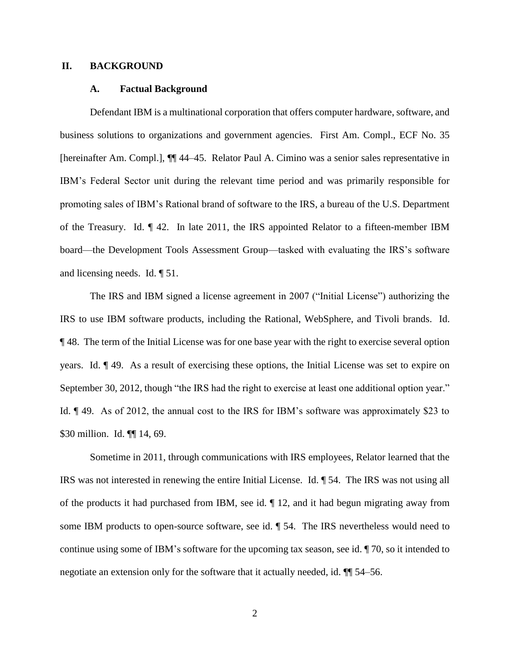## **II. BACKGROUND**

## **A. Factual Background**

Defendant IBM is a multinational corporation that offers computer hardware, software, and business solutions to organizations and government agencies. First Am. Compl., ECF No. 35 [hereinafter Am. Compl.], ¶¶ 44–45. Relator Paul A. Cimino was a senior sales representative in IBM's Federal Sector unit during the relevant time period and was primarily responsible for promoting sales of IBM's Rational brand of software to the IRS, a bureau of the U.S. Department of the Treasury. Id. ¶ 42. In late 2011, the IRS appointed Relator to a fifteen-member IBM board—the Development Tools Assessment Group—tasked with evaluating the IRS's software and licensing needs. Id. ¶ 51.

The IRS and IBM signed a license agreement in 2007 ("Initial License") authorizing the IRS to use IBM software products, including the Rational, WebSphere, and Tivoli brands. Id. ¶ 48. The term of the Initial License was for one base year with the right to exercise several option years. Id. ¶ 49. As a result of exercising these options, the Initial License was set to expire on September 30, 2012, though "the IRS had the right to exercise at least one additional option year." Id. ¶ 49. As of 2012, the annual cost to the IRS for IBM's software was approximately \$23 to \$30 million. Id. ¶ 14, 69.

Sometime in 2011, through communications with IRS employees, Relator learned that the IRS was not interested in renewing the entire Initial License. Id. ¶ 54. The IRS was not using all of the products it had purchased from IBM, see id. ¶ 12, and it had begun migrating away from some IBM products to open-source software, see id. ¶ 54. The IRS nevertheless would need to continue using some of IBM's software for the upcoming tax season, see id. ¶ 70, so it intended to negotiate an extension only for the software that it actually needed, id. ¶¶ 54–56.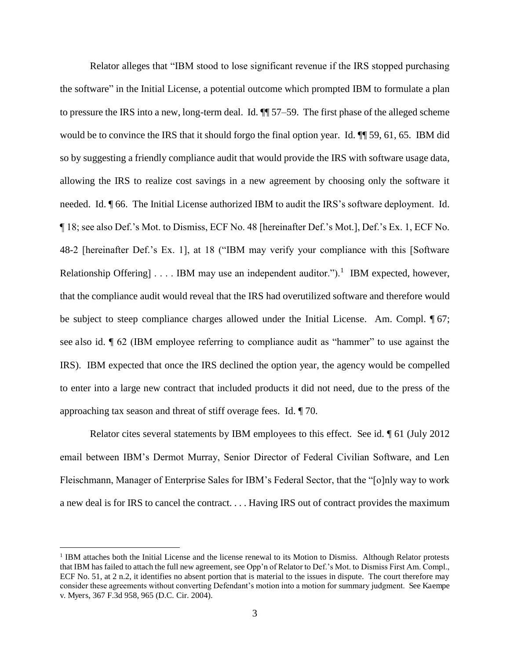Relator alleges that "IBM stood to lose significant revenue if the IRS stopped purchasing the software" in the Initial License, a potential outcome which prompted IBM to formulate a plan to pressure the IRS into a new, long-term deal. Id. ¶¶ 57–59. The first phase of the alleged scheme would be to convince the IRS that it should forgo the final option year. Id.  $\P$  59, 61, 65. IBM did so by suggesting a friendly compliance audit that would provide the IRS with software usage data, allowing the IRS to realize cost savings in a new agreement by choosing only the software it needed. Id. ¶ 66. The Initial License authorized IBM to audit the IRS's software deployment. Id. ¶ 18; see also Def.'s Mot. to Dismiss, ECF No. 48 [hereinafter Def.'s Mot.], Def.'s Ex. 1, ECF No. 48-2 [hereinafter Def.'s Ex. 1], at 18 ("IBM may verify your compliance with this [Software Relationship Offering]  $\ldots$  IBM may use an independent auditor.").<sup>1</sup> IBM expected, however, that the compliance audit would reveal that the IRS had overutilized software and therefore would be subject to steep compliance charges allowed under the Initial License. Am. Compl. ¶ 67; see also id. ¶ 62 (IBM employee referring to compliance audit as "hammer" to use against the IRS). IBM expected that once the IRS declined the option year, the agency would be compelled to enter into a large new contract that included products it did not need, due to the press of the approaching tax season and threat of stiff overage fees. Id. ¶ 70.

Relator cites several statements by IBM employees to this effect. See id. ¶ 61 (July 2012 email between IBM's Dermot Murray, Senior Director of Federal Civilian Software, and Len Fleischmann, Manager of Enterprise Sales for IBM's Federal Sector, that the "[o]nly way to work a new deal is for IRS to cancel the contract. . . . Having IRS out of contract provides the maximum

l

<sup>&</sup>lt;sup>1</sup> IBM attaches both the Initial License and the license renewal to its Motion to Dismiss. Although Relator protests that IBM has failed to attach the full new agreement, see Opp'n of Relator to Def.'s Mot. to Dismiss First Am. Compl., ECF No. 51, at 2 n.2, it identifies no absent portion that is material to the issues in dispute. The court therefore may consider these agreements without converting Defendant's motion into a motion for summary judgment. See Kaempe v. Myers, 367 F.3d 958, 965 (D.C. Cir. 2004).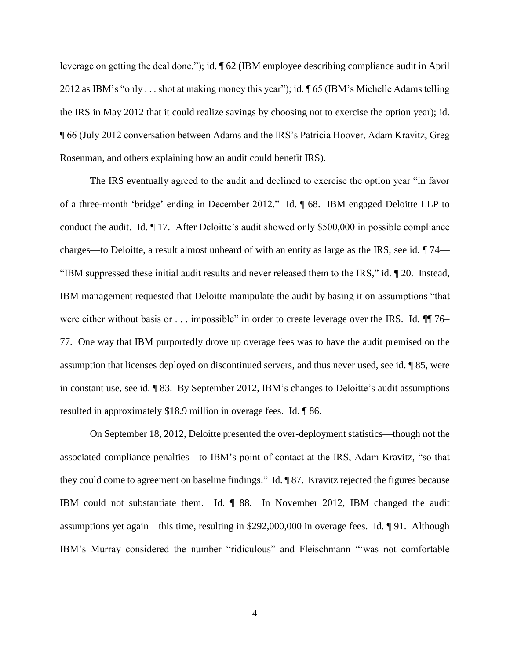leverage on getting the deal done."); id. ¶ 62 (IBM employee describing compliance audit in April 2012 as IBM's "only . . . shot at making money this year"); id. ¶ 65 (IBM's Michelle Adams telling the IRS in May 2012 that it could realize savings by choosing not to exercise the option year); id. ¶ 66 (July 2012 conversation between Adams and the IRS's Patricia Hoover, Adam Kravitz, Greg Rosenman, and others explaining how an audit could benefit IRS).

The IRS eventually agreed to the audit and declined to exercise the option year "in favor of a three-month 'bridge' ending in December 2012." Id. ¶ 68. IBM engaged Deloitte LLP to conduct the audit. Id. ¶ 17. After Deloitte's audit showed only \$500,000 in possible compliance charges—to Deloitte, a result almost unheard of with an entity as large as the IRS, see id. ¶ 74— "IBM suppressed these initial audit results and never released them to the IRS," id. ¶ 20. Instead, IBM management requested that Deloitte manipulate the audit by basing it on assumptions "that were either without basis or . . . impossible" in order to create leverage over the IRS. Id.  $\P$  76– 77. One way that IBM purportedly drove up overage fees was to have the audit premised on the assumption that licenses deployed on discontinued servers, and thus never used, see id. ¶ 85, were in constant use, see id. ¶ 83. By September 2012, IBM's changes to Deloitte's audit assumptions resulted in approximately \$18.9 million in overage fees. Id. ¶ 86.

On September 18, 2012, Deloitte presented the over-deployment statistics—though not the associated compliance penalties—to IBM's point of contact at the IRS, Adam Kravitz, "so that they could come to agreement on baseline findings." Id. ¶ 87. Kravitz rejected the figures because IBM could not substantiate them. Id. ¶ 88. In November 2012, IBM changed the audit assumptions yet again—this time, resulting in \$292,000,000 in overage fees. Id. ¶ 91. Although IBM's Murray considered the number "ridiculous" and Fleischmann "'was not comfortable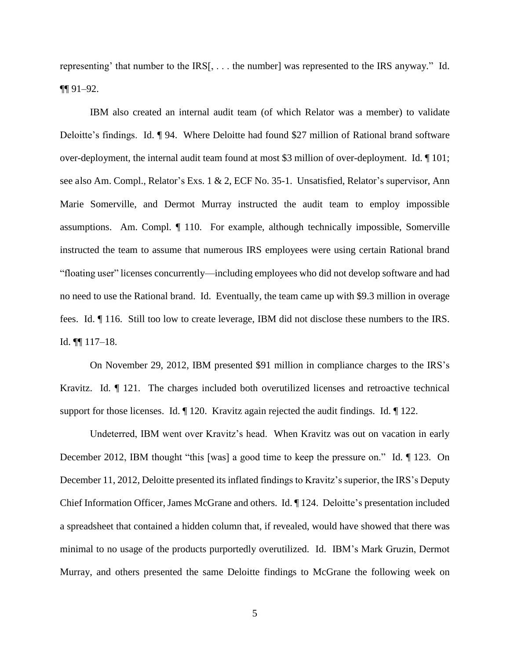representing' that number to the IRS[, . . . the number] was represented to the IRS anyway." Id. ¶¶ 91–92.

IBM also created an internal audit team (of which Relator was a member) to validate Deloitte's findings. Id. ¶ 94. Where Deloitte had found \$27 million of Rational brand software over-deployment, the internal audit team found at most \$3 million of over-deployment. Id. ¶ 101; see also Am. Compl., Relator's Exs. 1 & 2, ECF No. 35-1. Unsatisfied, Relator's supervisor, Ann Marie Somerville, and Dermot Murray instructed the audit team to employ impossible assumptions. Am. Compl. ¶ 110. For example, although technically impossible, Somerville instructed the team to assume that numerous IRS employees were using certain Rational brand "floating user" licenses concurrently—including employees who did not develop software and had no need to use the Rational brand. Id. Eventually, the team came up with \$9.3 million in overage fees. Id. ¶ 116. Still too low to create leverage, IBM did not disclose these numbers to the IRS. Id. ¶¶ 117–18.

On November 29, 2012, IBM presented \$91 million in compliance charges to the IRS's Kravitz. Id. ¶ 121. The charges included both overutilized licenses and retroactive technical support for those licenses. Id. ¶ 120. Kravitz again rejected the audit findings. Id. ¶ 122.

Undeterred, IBM went over Kravitz's head. When Kravitz was out on vacation in early December 2012, IBM thought "this [was] a good time to keep the pressure on." Id. ¶ 123. On December 11, 2012, Deloitte presented its inflated findings to Kravitz's superior, the IRS's Deputy Chief Information Officer, James McGrane and others. Id. ¶ 124. Deloitte's presentation included a spreadsheet that contained a hidden column that, if revealed, would have showed that there was minimal to no usage of the products purportedly overutilized. Id. IBM's Mark Gruzin, Dermot Murray, and others presented the same Deloitte findings to McGrane the following week on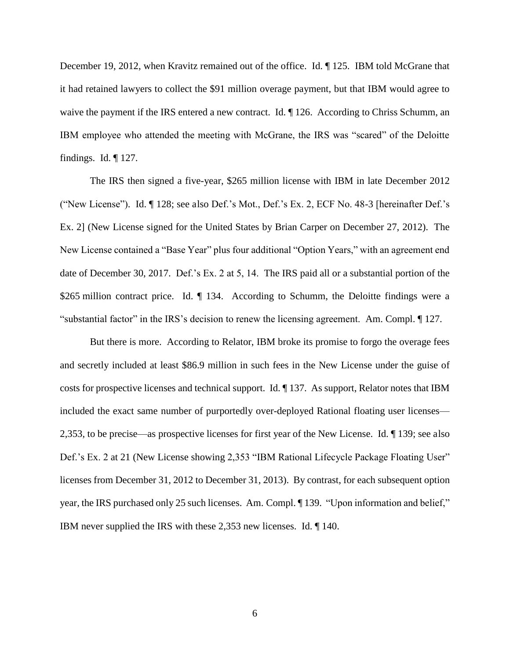December 19, 2012, when Kravitz remained out of the office. Id. ¶ 125. IBM told McGrane that it had retained lawyers to collect the \$91 million overage payment, but that IBM would agree to waive the payment if the IRS entered a new contract. Id.  $\P$  126. According to Chriss Schumm, an IBM employee who attended the meeting with McGrane, the IRS was "scared" of the Deloitte findings. Id. ¶ 127.

The IRS then signed a five-year, \$265 million license with IBM in late December 2012 ("New License"). Id. ¶ 128; see also Def.'s Mot., Def.'s Ex. 2, ECF No. 48-3 [hereinafter Def.'s Ex. 2] (New License signed for the United States by Brian Carper on December 27, 2012). The New License contained a "Base Year" plus four additional "Option Years," with an agreement end date of December 30, 2017. Def.'s Ex. 2 at 5, 14. The IRS paid all or a substantial portion of the \$265 million contract price. Id. ¶ 134. According to Schumm, the Deloitte findings were a "substantial factor" in the IRS's decision to renew the licensing agreement. Am. Compl. ¶ 127.

But there is more. According to Relator, IBM broke its promise to forgo the overage fees and secretly included at least \$86.9 million in such fees in the New License under the guise of costs for prospective licenses and technical support. Id. ¶ 137. As support, Relator notes that IBM included the exact same number of purportedly over-deployed Rational floating user licenses— 2,353, to be precise—as prospective licenses for first year of the New License. Id. ¶ 139; see also Def.'s Ex. 2 at 21 (New License showing 2,353 "IBM Rational Lifecycle Package Floating User" licenses from December 31, 2012 to December 31, 2013). By contrast, for each subsequent option year, the IRS purchased only 25 such licenses. Am. Compl. ¶ 139. "Upon information and belief," IBM never supplied the IRS with these 2,353 new licenses. Id. ¶ 140.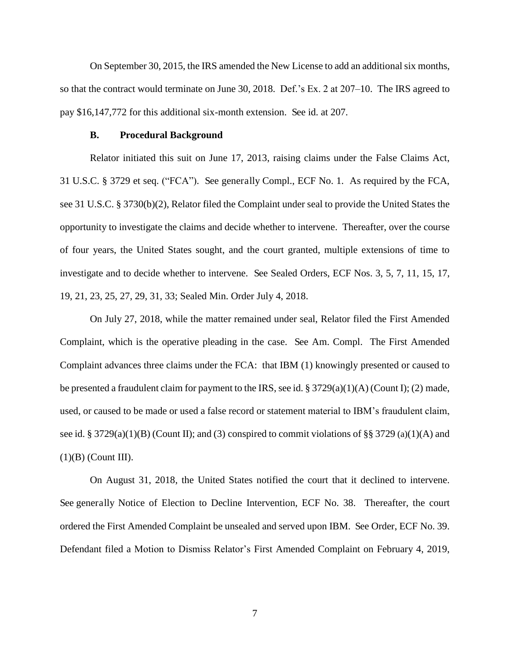On September 30, 2015, the IRS amended the New License to add an additional six months, so that the contract would terminate on June 30, 2018. Def.'s Ex. 2 at 207–10. The IRS agreed to pay \$16,147,772 for this additional six-month extension. See id. at 207.

#### **B. Procedural Background**

Relator initiated this suit on June 17, 2013, raising claims under the False Claims Act, 31 U.S.C. § 3729 et seq. ("FCA"). See generally Compl., ECF No. 1. As required by the FCA, see 31 U.S.C. § 3730(b)(2), Relator filed the Complaint under seal to provide the United States the opportunity to investigate the claims and decide whether to intervene. Thereafter, over the course of four years, the United States sought, and the court granted, multiple extensions of time to investigate and to decide whether to intervene. See Sealed Orders, ECF Nos. 3, 5, 7, 11, 15, 17, 19, 21, 23, 25, 27, 29, 31, 33; Sealed Min. Order July 4, 2018.

On July 27, 2018, while the matter remained under seal, Relator filed the First Amended Complaint, which is the operative pleading in the case. See Am. Compl. The First Amended Complaint advances three claims under the FCA: that IBM (1) knowingly presented or caused to be presented a fraudulent claim for payment to the IRS, see id. § 3729(a)(1)(A) (Count I); (2) made, used, or caused to be made or used a false record or statement material to IBM's fraudulent claim, see id. § 3729(a)(1)(B) (Count II); and (3) conspired to commit violations of §§ 3729 (a)(1)(A) and  $(1)(B)$  (Count III).

On August 31, 2018, the United States notified the court that it declined to intervene. See generally Notice of Election to Decline Intervention, ECF No. 38. Thereafter, the court ordered the First Amended Complaint be unsealed and served upon IBM. See Order, ECF No. 39. Defendant filed a Motion to Dismiss Relator's First Amended Complaint on February 4, 2019,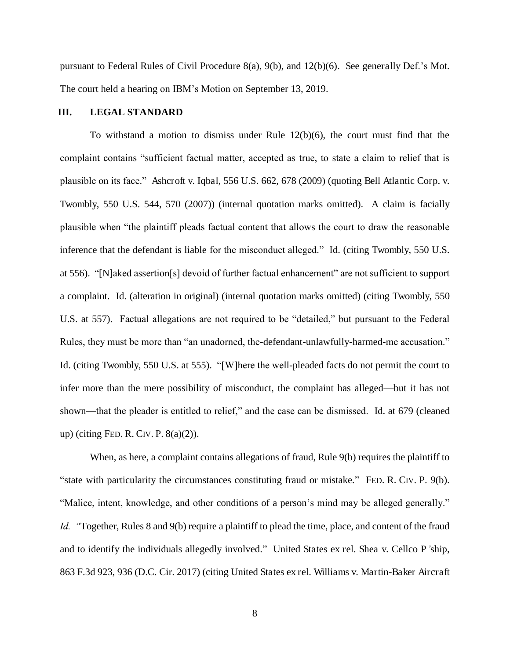pursuant to Federal Rules of Civil Procedure 8(a), 9(b), and 12(b)(6). See generally Def.'s Mot. The court held a hearing on IBM's Motion on September 13, 2019.

## **III. LEGAL STANDARD**

To withstand a motion to dismiss under Rule 12(b)(6), the court must find that the complaint contains "sufficient factual matter, accepted as true, to state a claim to relief that is plausible on its face." Ashcroft v. Iqbal, 556 U.S. 662, 678 (2009) (quoting Bell Atlantic Corp. v. Twombly, 550 U.S. 544, 570 (2007)) (internal quotation marks omitted). A claim is facially plausible when "the plaintiff pleads factual content that allows the court to draw the reasonable inference that the defendant is liable for the misconduct alleged." Id. (citing Twombly, 550 U.S. at 556). "[N]aked assertion[s] devoid of further factual enhancement" are not sufficient to support a complaint. Id. (alteration in original) (internal quotation marks omitted) (citing Twombly, 550 U.S. at 557). Factual allegations are not required to be "detailed," but pursuant to the Federal Rules, they must be more than "an unadorned, the-defendant-unlawfully-harmed-me accusation." Id. (citing Twombly, 550 U.S. at 555). "[W]here the well-pleaded facts do not permit the court to infer more than the mere possibility of misconduct, the complaint has alleged—but it has not shown—that the pleader is entitled to relief," and the case can be dismissed. Id. at 679 (cleaned up) (citing FED. R. CIV. P. 8(a)(2)).

When, as here, a complaint contains allegations of fraud, Rule 9(b) requires the plaintiff to "state with particularity the circumstances constituting fraud or mistake." FED. R. CIV. P. 9(b). "Malice, intent, knowledge, and other conditions of a person's mind may be alleged generally." *Id.* "Together, Rules 8 and 9(b) require a plaintiff to plead the time, place, and content of the fraud and to identify the individuals allegedly involved." United States ex rel. Shea v. Cellco P*'*ship, 863 F.3d 923, 936 (D.C. Cir. 2017) (citing United States ex rel. Williams v. Martin-Baker Aircraft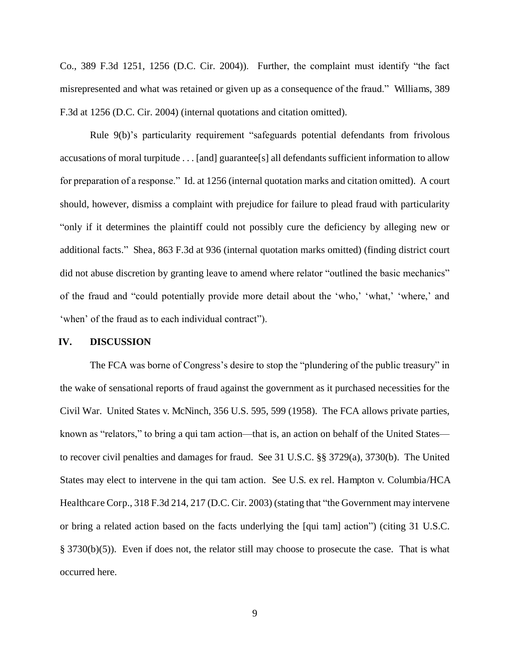Co., 389 F.3d 1251, 1256 (D.C. Cir. 2004)). Further, the complaint must identify "the fact misrepresented and what was retained or given up as a consequence of the fraud." Williams, 389 F.3d at 1256 (D.C. Cir. 2004) (internal quotations and citation omitted).

Rule 9(b)'s particularity requirement "safeguards potential defendants from frivolous accusations of moral turpitude . . . [and] guarantee[s] all defendants sufficient information to allow for preparation of a response." Id. at 1256 (internal quotation marks and citation omitted). A court should, however, dismiss a complaint with prejudice for failure to plead fraud with particularity "only if it determines the plaintiff could not possibly cure the deficiency by alleging new or additional facts." Shea, 863 F.3d at 936 (internal quotation marks omitted) (finding district court did not abuse discretion by granting leave to amend where relator "outlined the basic mechanics" of the fraud and "could potentially provide more detail about the 'who,' 'what,' 'where,' and 'when' of the fraud as to each individual contract").

#### **IV. DISCUSSION**

The FCA was borne of Congress's desire to stop the "plundering of the public treasury" in the wake of sensational reports of fraud against the government as it purchased necessities for the Civil War. United States v. McNinch, 356 U.S. 595, 599 (1958). The FCA allows private parties, known as "relators," to bring a qui tam action—that is, an action on behalf of the United States to recover civil penalties and damages for fraud. See 31 U.S.C. §§ 3729(a), 3730(b). The United States may elect to intervene in the qui tam action. See U.S. ex rel. Hampton v. Columbia/HCA Healthcare Corp., 318 F.3d 214, 217 (D.C. Cir. 2003) (stating that "the Government may intervene or bring a related action based on the facts underlying the [qui tam] action") (citing 31 U.S.C. § 3730(b)(5)). Even if does not, the relator still may choose to prosecute the case. That is what occurred here.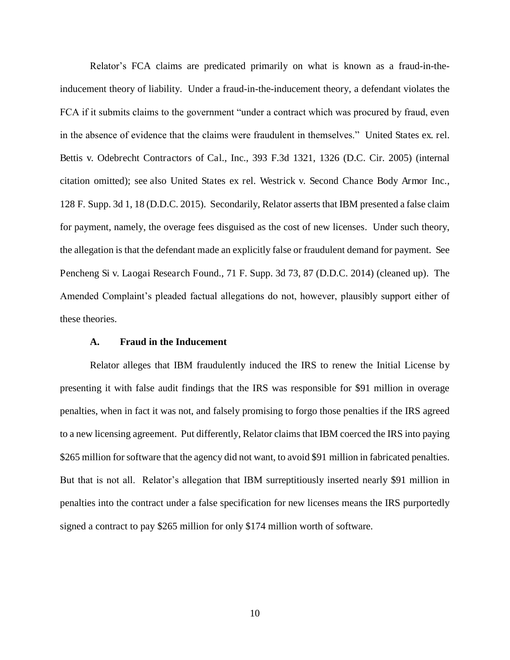Relator's FCA claims are predicated primarily on what is known as a fraud-in-theinducement theory of liability. Under a fraud-in-the-inducement theory, a defendant violates the FCA if it submits claims to the government "under a contract which was procured by fraud, even in the absence of evidence that the claims were fraudulent in themselves." United States ex. rel. Bettis v. Odebrecht Contractors of Cal., Inc., 393 F.3d 1321, 1326 (D.C. Cir. 2005) (internal citation omitted); see also United States ex rel. Westrick v. Second Chance Body Armor Inc., 128 F. Supp. 3d 1, 18 (D.D.C. 2015). Secondarily, Relator asserts that IBM presented a false claim for payment, namely, the overage fees disguised as the cost of new licenses. Under such theory, the allegation is that the defendant made an explicitly false or fraudulent demand for payment. See Pencheng Si v. Laogai Research Found., 71 F. Supp. 3d 73, 87 (D.D.C. 2014) (cleaned up). The Amended Complaint's pleaded factual allegations do not, however, plausibly support either of these theories.

## **A. Fraud in the Inducement**

Relator alleges that IBM fraudulently induced the IRS to renew the Initial License by presenting it with false audit findings that the IRS was responsible for \$91 million in overage penalties, when in fact it was not, and falsely promising to forgo those penalties if the IRS agreed to a new licensing agreement. Put differently, Relator claims that IBM coerced the IRS into paying \$265 million for software that the agency did not want, to avoid \$91 million in fabricated penalties. But that is not all. Relator's allegation that IBM surreptitiously inserted nearly \$91 million in penalties into the contract under a false specification for new licenses means the IRS purportedly signed a contract to pay \$265 million for only \$174 million worth of software.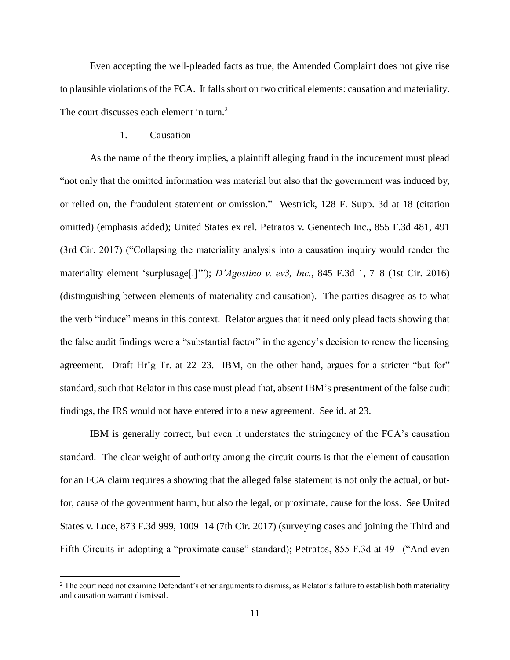Even accepting the well-pleaded facts as true, the Amended Complaint does not give rise to plausible violations of the FCA. It falls short on two critical elements: causation and materiality. The court discusses each element in turn.<sup>2</sup>

## 1. Causation

l

As the name of the theory implies, a plaintiff alleging fraud in the inducement must plead "not only that the omitted information was material but also that the government was induced by, or relied on, the fraudulent statement or omission." Westrick, 128 F. Supp. 3d at 18 (citation omitted) (emphasis added); United States ex rel. Petratos v. Genentech Inc., 855 F.3d 481, 491 (3rd Cir. 2017) ("Collapsing the materiality analysis into a causation inquiry would render the materiality element 'surplusage[.]'"); *D'Agostino v. ev3, Inc.*, 845 F.3d 1, 7–8 (1st Cir. 2016) (distinguishing between elements of materiality and causation). The parties disagree as to what the verb "induce" means in this context. Relator argues that it need only plead facts showing that the false audit findings were a "substantial factor" in the agency's decision to renew the licensing agreement. Draft Hr'g Tr. at 22–23. IBM, on the other hand, argues for a stricter "but for" standard, such that Relator in this case must plead that, absent IBM's presentment of the false audit findings, the IRS would not have entered into a new agreement. See id. at 23.

IBM is generally correct, but even it understates the stringency of the FCA's causation standard. The clear weight of authority among the circuit courts is that the element of causation for an FCA claim requires a showing that the alleged false statement is not only the actual, or butfor, cause of the government harm, but also the legal, or proximate, cause for the loss. See United States v. Luce, 873 F.3d 999, 1009–14 (7th Cir. 2017) (surveying cases and joining the Third and Fifth Circuits in adopting a "proximate cause" standard); Petratos, 855 F.3d at 491 ("And even

<sup>&</sup>lt;sup>2</sup> The court need not examine Defendant's other arguments to dismiss, as Relator's failure to establish both materiality and causation warrant dismissal.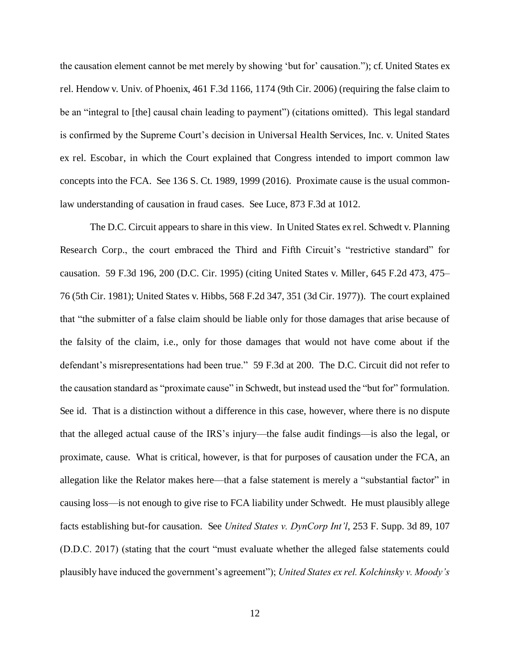the causation element cannot be met merely by showing 'but for' causation."); cf. United States ex rel. Hendow v. Univ. of Phoenix, 461 F.3d 1166, 1174 (9th Cir. 2006) (requiring the false claim to be an "integral to [the] causal chain leading to payment") (citations omitted). This legal standard is confirmed by the Supreme Court's decision in Universal Health Services, Inc. v. United States ex rel. Escobar, in which the Court explained that Congress intended to import common law concepts into the FCA. See 136 S. Ct. 1989, 1999 (2016). Proximate cause is the usual commonlaw understanding of causation in fraud cases. See Luce, 873 F.3d at 1012.

The D.C. Circuit appears to share in this view. In United States ex rel. Schwedt v. Planning Research Corp., the court embraced the Third and Fifth Circuit's "restrictive standard" for causation. 59 F.3d 196, 200 (D.C. Cir. 1995) (citing United States v. Miller, 645 F.2d 473, 475– 76 (5th Cir. 1981); United States v. Hibbs, 568 F.2d 347, 351 (3d Cir. 1977)). The court explained that "the submitter of a false claim should be liable only for those damages that arise because of the falsity of the claim, i.e., only for those damages that would not have come about if the defendant's misrepresentations had been true." 59 F.3d at 200. The D.C. Circuit did not refer to the causation standard as "proximate cause" in Schwedt, but instead used the "but for" formulation. See id. That is a distinction without a difference in this case, however, where there is no dispute that the alleged actual cause of the IRS's injury—the false audit findings—is also the legal, or proximate, cause. What is critical, however, is that for purposes of causation under the FCA, an allegation like the Relator makes here—that a false statement is merely a "substantial factor" in causing loss—is not enough to give rise to FCA liability under Schwedt. He must plausibly allege facts establishing but-for causation. See *United States v. DynCorp Int'l*, 253 F. Supp. 3d 89, 107 (D.D.C. 2017) (stating that the court "must evaluate whether the alleged false statements could plausibly have induced the government's agreement"); *United States ex rel. Kolchinsky v. Moody's*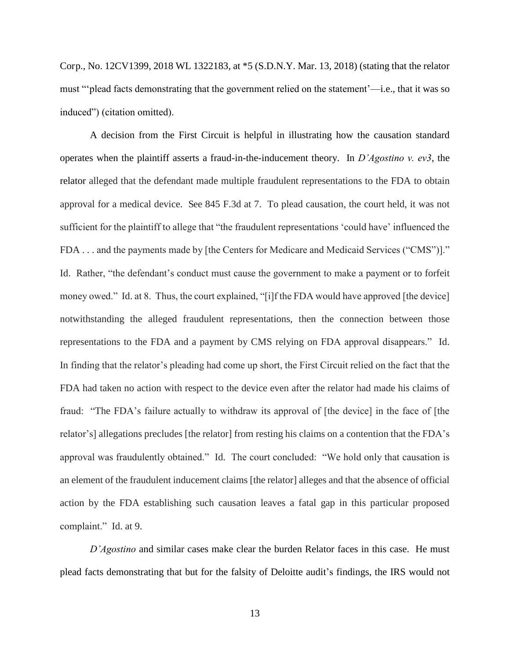Corp., No. 12CV1399, 2018 WL 1322183, at \*5 (S.D.N.Y. Mar. 13, 2018) (stating that the relator must "'plead facts demonstrating that the government relied on the statement'—i.e., that it was so induced") (citation omitted).

A decision from the First Circuit is helpful in illustrating how the causation standard operates when the plaintiff asserts a fraud-in-the-inducement theory. In *D'Agostino v. ev3*, the relator alleged that the defendant made multiple fraudulent representations to the FDA to obtain approval for a medical device. See 845 F.3d at 7. To plead causation, the court held, it was not sufficient for the plaintiff to allege that "the fraudulent representations 'could have' influenced the FDA . . . and the payments made by [the Centers for Medicare and Medicaid Services ("CMS")]." Id. Rather, "the defendant's conduct must cause the government to make a payment or to forfeit money owed." Id. at 8. Thus, the court explained, "[i]f the FDA would have approved [the device] notwithstanding the alleged fraudulent representations, then the connection between those representations to the FDA and a payment by CMS relying on FDA approval disappears." Id. In finding that the relator's pleading had come up short, the First Circuit relied on the fact that the FDA had taken no action with respect to the device even after the relator had made his claims of fraud: "The FDA's failure actually to withdraw its approval of [the device] in the face of [the relator's] allegations precludes [the relator] from resting his claims on a contention that the FDA's approval was fraudulently obtained." Id. The court concluded: "We hold only that causation is an element of the fraudulent inducement claims [the relator] alleges and that the absence of official action by the FDA establishing such causation leaves a fatal gap in this particular proposed complaint." Id. at 9.

*D'Agostino* and similar cases make clear the burden Relator faces in this case. He must plead facts demonstrating that but for the falsity of Deloitte audit's findings, the IRS would not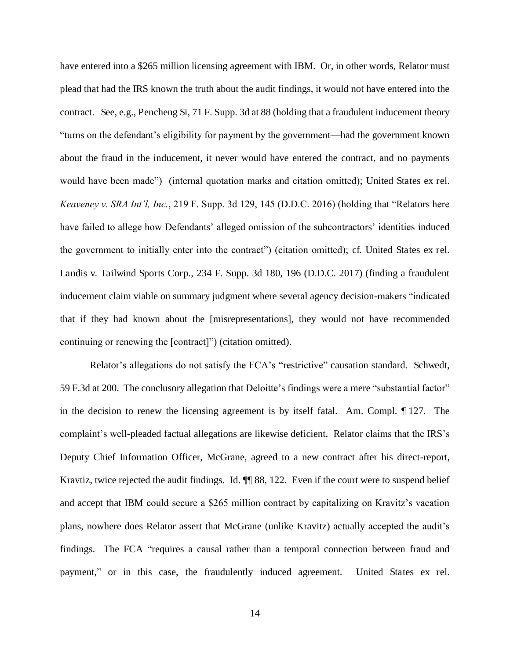have entered into a \$265 million licensing agreement with IBM. Or, in other words, Relator must plead that had the IRS known the truth about the audit findings, it would not have entered into the contract. See, e.g., Pencheng Si, 71 F. Supp. 3d at 88 (holding that a fraudulent inducement theory "turns on the defendant's eligibility for payment by the government—had the government known about the fraud in the inducement, it never would have entered the contract, and no payments would have been made") (internal quotation marks and citation omitted); United States ex rel. *Keaveney v. SRA Int'l, Inc.*, 219 F. Supp. 3d 129, 145 (D.D.C. 2016) (holding that "Relators here have failed to allege how Defendants' alleged omission of the subcontractors' identities induced the government to initially enter into the contract") (citation omitted); cf. United States ex rel. Landis v. Tailwind Sports Corp., 234 F. Supp. 3d 180, 196 (D.D.C. 2017) (finding a fraudulent inducement claim viable on summary judgment where several agency decision-makers "indicated that if they had known about the [misrepresentations], they would not have recommended continuing or renewing the [contract]") (citation omitted).

Relator's allegations do not satisfy the FCA's "restrictive" causation standard. Schwedt, 59 F.3d at 200. The conclusory allegation that Deloitte's findings were a mere "substantial factor" in the decision to renew the licensing agreement is by itself fatal. Am. Compl. ¶ 127. The complaint's well-pleaded factual allegations are likewise deficient. Relator claims that the IRS's Deputy Chief Information Officer, McGrane, agreed to a new contract after his direct-report, Kravtiz, twice rejected the audit findings. Id. ¶¶ 88, 122. Even if the court were to suspend belief and accept that IBM could secure a \$265 million contract by capitalizing on Kravitz's vacation plans, nowhere does Relator assert that McGrane (unlike Kravitz) actually accepted the audit's findings. The FCA "requires a causal rather than a temporal connection between fraud and payment," or in this case, the fraudulently induced agreement. United States ex rel.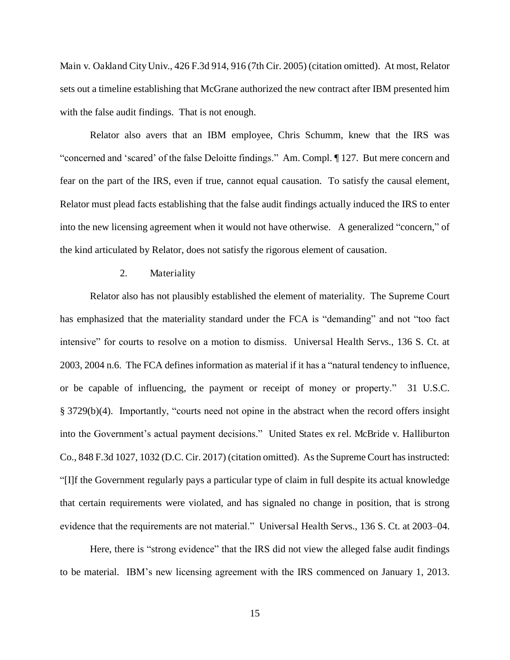Main v. Oakland City Univ., 426 F.3d 914, 916 (7th Cir. 2005) (citation omitted). At most, Relator sets out a timeline establishing that McGrane authorized the new contract after IBM presented him with the false audit findings. That is not enough.

Relator also avers that an IBM employee, Chris Schumm, knew that the IRS was "concerned and 'scared' of the false Deloitte findings." Am. Compl. ¶ 127. But mere concern and fear on the part of the IRS, even if true, cannot equal causation. To satisfy the causal element, Relator must plead facts establishing that the false audit findings actually induced the IRS to enter into the new licensing agreement when it would not have otherwise. A generalized "concern," of the kind articulated by Relator, does not satisfy the rigorous element of causation.

## 2. Materiality

Relator also has not plausibly established the element of materiality. The Supreme Court has emphasized that the materiality standard under the FCA is "demanding" and not "too fact intensive" for courts to resolve on a motion to dismiss. Universal Health Servs., 136 S. Ct. at 2003, 2004 n.6. The FCA defines information as material if it has a "natural tendency to influence, or be capable of influencing, the payment or receipt of money or property." 31 U.S.C. § 3729(b)(4). Importantly, "courts need not opine in the abstract when the record offers insight into the Government's actual payment decisions." United States ex rel. McBride v. Halliburton Co., 848 F.3d 1027, 1032 (D.C. Cir. 2017) (citation omitted). As the Supreme Court has instructed: "[I]f the Government regularly pays a particular type of claim in full despite its actual knowledge that certain requirements were violated, and has signaled no change in position, that is strong evidence that the requirements are not material." Universal Health Servs., 136 S. Ct. at 2003–04.

Here, there is "strong evidence" that the IRS did not view the alleged false audit findings to be material. IBM's new licensing agreement with the IRS commenced on January 1, 2013.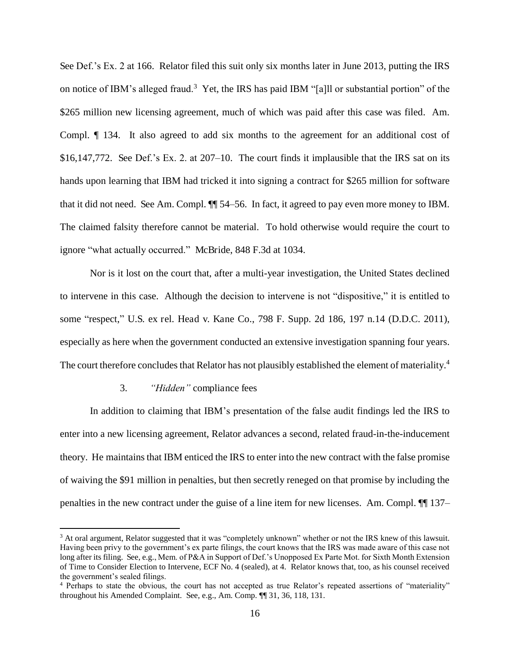See Def.'s Ex. 2 at 166. Relator filed this suit only six months later in June 2013, putting the IRS on notice of IBM's alleged fraud.<sup>3</sup> Yet, the IRS has paid IBM "[a]ll or substantial portion" of the \$265 million new licensing agreement, much of which was paid after this case was filed. Am. Compl. ¶ 134. It also agreed to add six months to the agreement for an additional cost of \$16,147,772. See Def.'s Ex. 2. at 207–10. The court finds it implausible that the IRS sat on its hands upon learning that IBM had tricked it into signing a contract for \$265 million for software that it did not need. See Am. Compl. ¶¶ 54–56. In fact, it agreed to pay even more money to IBM. The claimed falsity therefore cannot be material. To hold otherwise would require the court to ignore "what actually occurred." McBride, 848 F.3d at 1034.

Nor is it lost on the court that, after a multi-year investigation, the United States declined to intervene in this case. Although the decision to intervene is not "dispositive," it is entitled to some "respect," U.S. ex rel. Head v. Kane Co., 798 F. Supp. 2d 186, 197 n.14 (D.D.C. 2011), especially as here when the government conducted an extensive investigation spanning four years. The court therefore concludes that Relator has not plausibly established the element of materiality.<sup>4</sup>

#### 3. *"Hidden"* compliance fees

l

In addition to claiming that IBM's presentation of the false audit findings led the IRS to enter into a new licensing agreement, Relator advances a second, related fraud-in-the-inducement theory. He maintains that IBM enticed the IRS to enter into the new contract with the false promise of waiving the \$91 million in penalties, but then secretly reneged on that promise by including the penalties in the new contract under the guise of a line item for new licenses. Am. Compl. ¶¶ 137–

<sup>&</sup>lt;sup>3</sup> At oral argument, Relator suggested that it was "completely unknown" whether or not the IRS knew of this lawsuit. Having been privy to the government's ex parte filings, the court knows that the IRS was made aware of this case not long after its filing. See, e.g., Mem. of P&A in Support of Def.'s Unopposed Ex Parte Mot. for Sixth Month Extension of Time to Consider Election to Intervene, ECF No. 4 (sealed), at 4. Relator knows that, too, as his counsel received the government's sealed filings.

<sup>4</sup> Perhaps to state the obvious, the court has not accepted as true Relator's repeated assertions of "materiality" throughout his Amended Complaint. See, e.g., Am. Comp. ¶¶ 31, 36, 118, 131.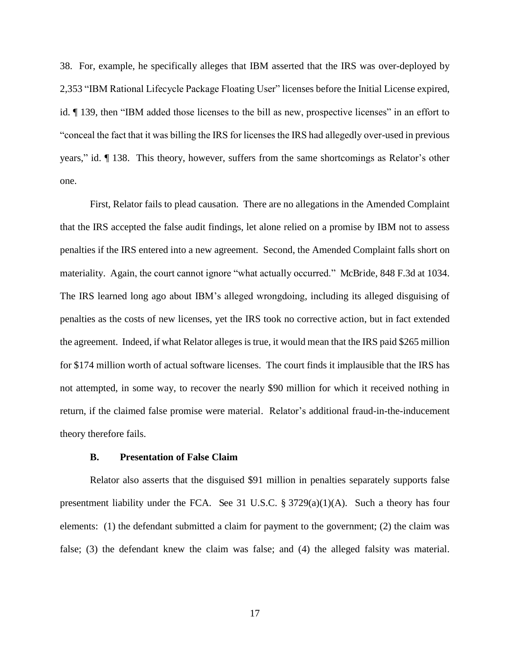38. For, example, he specifically alleges that IBM asserted that the IRS was over-deployed by 2,353 "IBM Rational Lifecycle Package Floating User" licenses before the Initial License expired, id. ¶ 139, then "IBM added those licenses to the bill as new, prospective licenses" in an effort to "conceal the fact that it was billing the IRS for licenses the IRS had allegedly over-used in previous years," id. ¶ 138. This theory, however, suffers from the same shortcomings as Relator's other one.

First, Relator fails to plead causation. There are no allegations in the Amended Complaint that the IRS accepted the false audit findings, let alone relied on a promise by IBM not to assess penalties if the IRS entered into a new agreement. Second, the Amended Complaint falls short on materiality. Again, the court cannot ignore "what actually occurred." McBride, 848 F.3d at 1034. The IRS learned long ago about IBM's alleged wrongdoing, including its alleged disguising of penalties as the costs of new licenses, yet the IRS took no corrective action, but in fact extended the agreement. Indeed, if what Relator alleges is true, it would mean that the IRS paid \$265 million for \$174 million worth of actual software licenses. The court finds it implausible that the IRS has not attempted, in some way, to recover the nearly \$90 million for which it received nothing in return, if the claimed false promise were material. Relator's additional fraud-in-the-inducement theory therefore fails.

## **B. Presentation of False Claim**

Relator also asserts that the disguised \$91 million in penalties separately supports false presentment liability under the FCA. See 31 U.S.C.  $\S 3729(a)(1)(A)$ . Such a theory has four elements: (1) the defendant submitted a claim for payment to the government; (2) the claim was false; (3) the defendant knew the claim was false; and (4) the alleged falsity was material.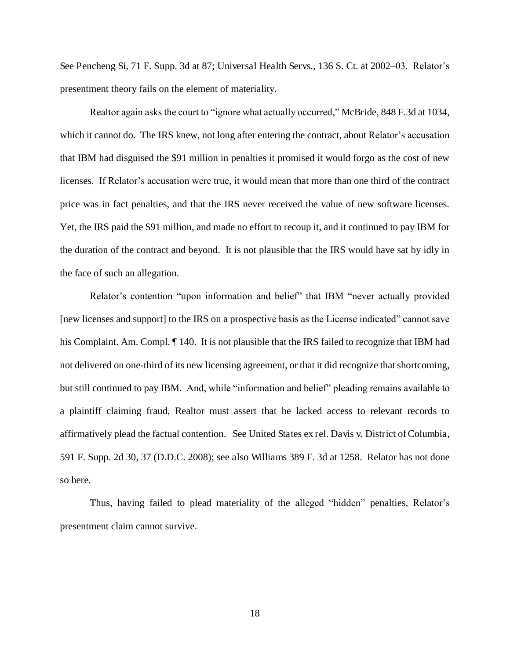See Pencheng Si, 71 F. Supp. 3d at 87; Universal Health Servs., 136 S. Ct. at 2002–03. Relator's presentment theory fails on the element of materiality.

Realtor again asks the court to "ignore what actually occurred," McBride, 848 F.3d at 1034, which it cannot do. The IRS knew, not long after entering the contract, about Relator's accusation that IBM had disguised the \$91 million in penalties it promised it would forgo as the cost of new licenses. If Relator's accusation were true, it would mean that more than one third of the contract price was in fact penalties, and that the IRS never received the value of new software licenses. Yet, the IRS paid the \$91 million, and made no effort to recoup it, and it continued to pay IBM for the duration of the contract and beyond. It is not plausible that the IRS would have sat by idly in the face of such an allegation.

Relator's contention "upon information and belief" that IBM "never actually provided [new licenses and support] to the IRS on a prospective basis as the License indicated" cannot save his Complaint. Am. Compl.  $\P$  140. It is not plausible that the IRS failed to recognize that IBM had not delivered on one-third of its new licensing agreement, or that it did recognize that shortcoming, but still continued to pay IBM. And, while "information and belief" pleading remains available to a plaintiff claiming fraud, Realtor must assert that he lacked access to relevant records to affirmatively plead the factual contention. See United States ex rel. Davis v. District of Columbia, 591 F. Supp. 2d 30, 37 (D.D.C. 2008); see also Williams 389 F. 3d at 1258. Relator has not done so here.

Thus, having failed to plead materiality of the alleged "hidden" penalties, Relator's presentment claim cannot survive.